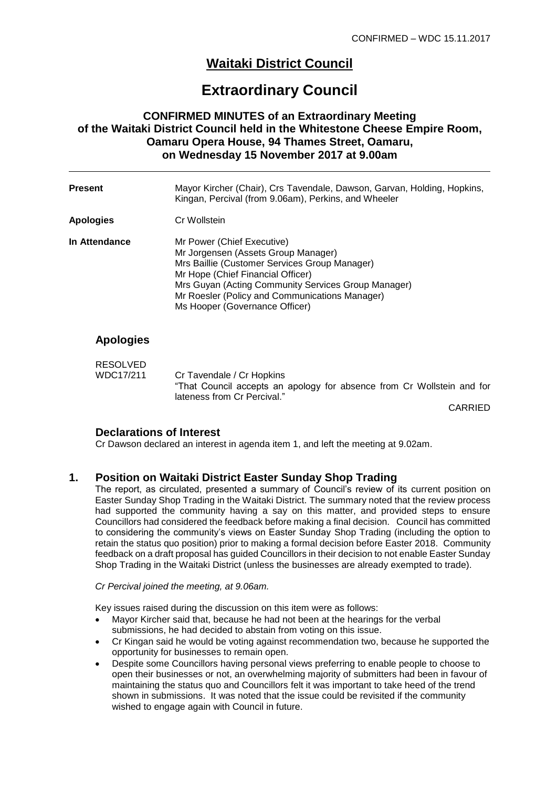# **Waitaki District Council**

# **Extraordinary Council**

# **CONFIRMED MINUTES of an Extraordinary Meeting of the Waitaki District Council held in the Whitestone Cheese Empire Room, Oamaru Opera House, 94 Thames Street, Oamaru, on Wednesday 15 November 2017 at 9.00am**

| <b>Present</b>   | Mayor Kircher (Chair), Crs Tavendale, Dawson, Garvan, Holding, Hopkins,<br>Kingan, Percival (from 9.06am), Perkins, and Wheeler                                                                                                                                                                    |
|------------------|----------------------------------------------------------------------------------------------------------------------------------------------------------------------------------------------------------------------------------------------------------------------------------------------------|
| <b>Apologies</b> | Cr Wollstein                                                                                                                                                                                                                                                                                       |
| In Attendance    | Mr Power (Chief Executive)<br>Mr Jorgensen (Assets Group Manager)<br>Mrs Baillie (Customer Services Group Manager)<br>Mr Hope (Chief Financial Officer)<br>Mrs Guyan (Acting Community Services Group Manager)<br>Mr Roesler (Policy and Communications Manager)<br>Ms Hooper (Governance Officer) |
| .                |                                                                                                                                                                                                                                                                                                    |

# **Apologies**

| <b>RESOLVED</b> |                                                                        |
|-----------------|------------------------------------------------------------------------|
| WDC17/211       | Cr Tavendale / Cr Hopkins                                              |
|                 | "That Council accepts an apology for absence from Cr Wollstein and for |
|                 | lateness from Cr Percival."                                            |

CARRIED

### **Declarations of Interest**

Cr Dawson declared an interest in agenda item 1, and left the meeting at 9.02am.

# **1. Position on Waitaki District Easter Sunday Shop Trading**

The report, as circulated, presented a summary of Council's review of its current position on Easter Sunday Shop Trading in the Waitaki District. The summary noted that the review process had supported the community having a say on this matter, and provided steps to ensure Councillors had considered the feedback before making a final decision. Council has committed to considering the community's views on Easter Sunday Shop Trading (including the option to retain the status quo position) prior to making a formal decision before Easter 2018. Community feedback on a draft proposal has guided Councillors in their decision to not enable Easter Sunday Shop Trading in the Waitaki District (unless the businesses are already exempted to trade).

#### *Cr Percival joined the meeting, at 9.06am.*

Key issues raised during the discussion on this item were as follows:

- Mayor Kircher said that, because he had not been at the hearings for the verbal submissions, he had decided to abstain from voting on this issue.
- Cr Kingan said he would be voting against recommendation two, because he supported the opportunity for businesses to remain open.
- Despite some Councillors having personal views preferring to enable people to choose to open their businesses or not, an overwhelming majority of submitters had been in favour of maintaining the status quo and Councillors felt it was important to take heed of the trend shown in submissions. It was noted that the issue could be revisited if the community wished to engage again with Council in future.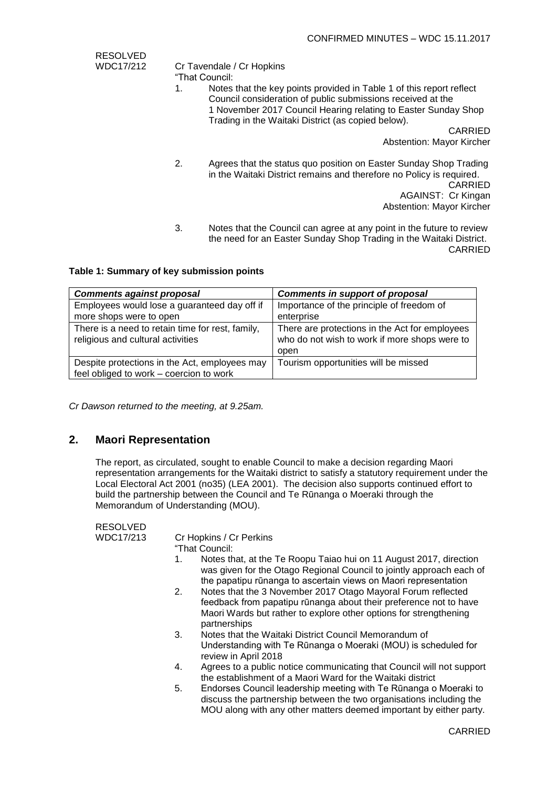| RESOLVED  |                                                                                                                                                                                                                                                                   |
|-----------|-------------------------------------------------------------------------------------------------------------------------------------------------------------------------------------------------------------------------------------------------------------------|
| WDC17/212 | Cr Tavendale / Cr Hopkins<br>"That Council:                                                                                                                                                                                                                       |
|           | Notes that the key points provided in Table 1 of this report reflect<br>1.<br>Council consideration of public submissions received at the<br>1 November 2017 Council Hearing relating to Easter Sunday Shop<br>Trading in the Waitaki District (as copied below). |
|           | <b>CARRIED</b>                                                                                                                                                                                                                                                    |
|           | <b>Abstention: Mayor Kircher</b>                                                                                                                                                                                                                                  |
|           | 2.<br>Agrees that the status quo position on Easter Sunday Shop Trading<br>in the Waitaki District remains and therefore no Policy is required.<br><b>CARRIED</b><br>AGAINST: Cr Kingan<br><b>Abstention: Mayor Kircher</b>                                       |

3. Notes that the Council can agree at any point in the future to review the need for an Easter Sunday Shop Trading in the Waitaki District. CARRIED

#### **Table 1: Summary of key submission points**

| <b>Comments against proposal</b>                                                         | <b>Comments in support of proposal</b>                                                                  |
|------------------------------------------------------------------------------------------|---------------------------------------------------------------------------------------------------------|
| Employees would lose a guaranteed day off if                                             | Importance of the principle of freedom of                                                               |
| more shops were to open                                                                  | enterprise                                                                                              |
| There is a need to retain time for rest, family,<br>religious and cultural activities    | There are protections in the Act for employees<br>who do not wish to work if more shops were to<br>open |
| Despite protections in the Act, employees may<br>feel obliged to work - coercion to work | Tourism opportunities will be missed                                                                    |

*Cr Dawson returned to the meeting, at 9.25am.*

#### **2. Maori Representation**

The report, as circulated, sought to enable Council to make a decision regarding Maori representation arrangements for the Waitaki district to satisfy a statutory requirement under the Local Electoral Act 2001 (no35) (LEA 2001). The decision also supports continued effort to build the partnership between the Council and Te Rūnanga o Moeraki through the Memorandum of Understanding (MOU).

| <b>RESOLVED</b> |                         |
|-----------------|-------------------------|
| WDC17/213       | Cr Hopkins / Cr Perkins |
|                 | "That Council:          |

- 1. Notes that, at the Te Roopu Taiao hui on 11 August 2017, direction was given for the Otago Regional Council to jointly approach each of the papatipu rūnanga to ascertain views on Maori representation
- 2. Notes that the 3 November 2017 Otago Mayoral Forum reflected feedback from papatipu rūnanga about their preference not to have Maori Wards but rather to explore other options for strengthening partnerships
- 3. Notes that the Waitaki District Council Memorandum of Understanding with Te Rūnanga o Moeraki (MOU) is scheduled for review in April 2018
- 4. Agrees to a public notice communicating that Council will not support the establishment of a Maori Ward for the Waitaki district
- 5. Endorses Council leadership meeting with Te Rūnanga o Moeraki to discuss the partnership between the two organisations including the MOU along with any other matters deemed important by either party.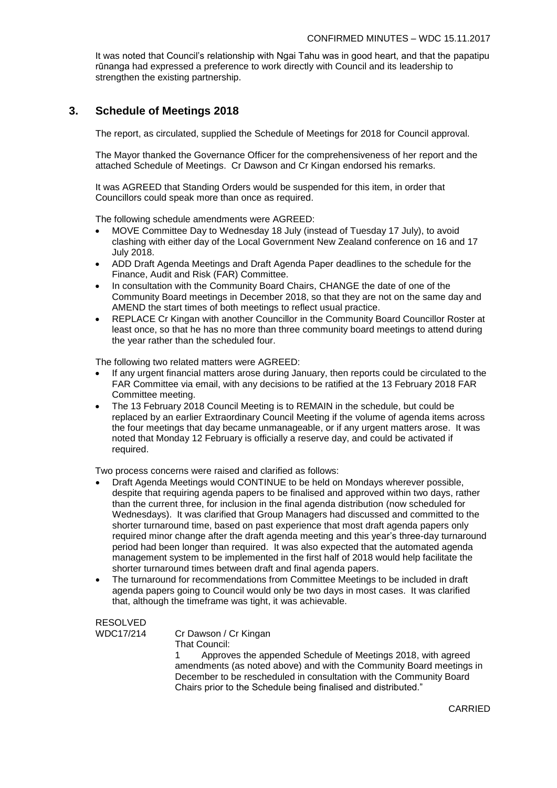It was noted that Council's relationship with Ngai Tahu was in good heart, and that the papatipu rūnanga had expressed a preference to work directly with Council and its leadership to strengthen the existing partnership.

## **3. Schedule of Meetings 2018**

The report, as circulated, supplied the Schedule of Meetings for 2018 for Council approval.

The Mayor thanked the Governance Officer for the comprehensiveness of her report and the attached Schedule of Meetings. Cr Dawson and Cr Kingan endorsed his remarks.

It was AGREED that Standing Orders would be suspended for this item, in order that Councillors could speak more than once as required.

The following schedule amendments were AGREED:

- MOVE Committee Day to Wednesday 18 July (instead of Tuesday 17 July), to avoid clashing with either day of the Local Government New Zealand conference on 16 and 17 July 2018.
- ADD Draft Agenda Meetings and Draft Agenda Paper deadlines to the schedule for the Finance, Audit and Risk (FAR) Committee.
- In consultation with the Community Board Chairs, CHANGE the date of one of the Community Board meetings in December 2018, so that they are not on the same day and AMEND the start times of both meetings to reflect usual practice.
- REPLACE Cr Kingan with another Councillor in the Community Board Councillor Roster at least once, so that he has no more than three community board meetings to attend during the year rather than the scheduled four.

The following two related matters were AGREED:

- If any urgent financial matters arose during January, then reports could be circulated to the FAR Committee via email, with any decisions to be ratified at the 13 February 2018 FAR Committee meeting.
- The 13 February 2018 Council Meeting is to REMAIN in the schedule, but could be replaced by an earlier Extraordinary Council Meeting if the volume of agenda items across the four meetings that day became unmanageable, or if any urgent matters arose. It was noted that Monday 12 February is officially a reserve day, and could be activated if required.

Two process concerns were raised and clarified as follows:

- Draft Agenda Meetings would CONTINUE to be held on Mondays wherever possible, despite that requiring agenda papers to be finalised and approved within two days, rather than the current three, for inclusion in the final agenda distribution (now scheduled for Wednesdays). It was clarified that Group Managers had discussed and committed to the shorter turnaround time, based on past experience that most draft agenda papers only required minor change after the draft agenda meeting and this year's three-day turnaround period had been longer than required. It was also expected that the automated agenda management system to be implemented in the first half of 2018 would help facilitate the shorter turnaround times between draft and final agenda papers.
- The turnaround for recommendations from Committee Meetings to be included in draft agenda papers going to Council would only be two days in most cases. It was clarified that, although the timeframe was tight, it was achievable.

# RESOLVED

WDC17/214 Cr Dawson / Cr Kingan

That Council:

1 Approves the appended Schedule of Meetings 2018, with agreed amendments (as noted above) and with the Community Board meetings in December to be rescheduled in consultation with the Community Board Chairs prior to the Schedule being finalised and distributed."